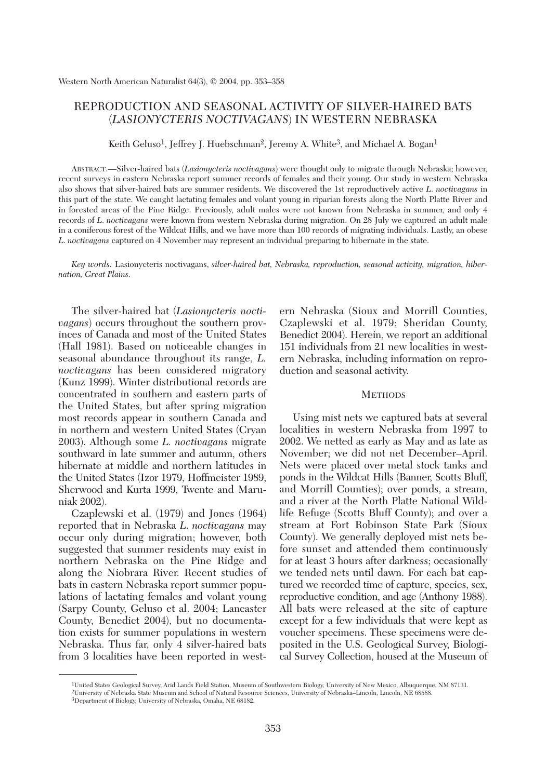# REPRODUCTION AND SEASONAL ACTIVITY OF SILVER-HAIRED BATS (*LASIONYCTERIS NOCTIVAGANS*) IN WESTERN NEBRASKA

Keith Geluso<sup>1</sup>, Jeffrey J. Huebschman<sup>2</sup>, Jeremy A. White<sup>3</sup>, and Michael A. Bogan<sup>1</sup>

ABSTRACT.—Silver-haired bats (*Lasionycteris noctivagans*) were thought only to migrate through Nebraska; however, recent surveys in eastern Nebraska report summer records of females and their young. Our study in western Nebraska also shows that silver-haired bats are summer residents. We discovered the 1st reproductively active *L*. *noctivagans* in this part of the state. We caught lactating females and volant young in riparian forests along the North Platte River and in forested areas of the Pine Ridge. Previously, adult males were not known from Nebraska in summer, and only 4 records of *L*. *noctivagans* were known from western Nebraska during migration. On 28 July we captured an adult male in a coniferous forest of the Wildcat Hills, and we have more than 100 records of migrating individuals. Lastly, an obese *L*. *noctivagans* captured on 4 November may represent an individual preparing to hibernate in the state.

*Key words:* Lasionycteris noctivagans, *silver-haired bat, Nebraska, reproduction, seasonal activity, migration, hibernation, Great Plains.*

The silver-haired bat (*Lasionycteris noctivagans*) occurs throughout the southern provinces of Canada and most of the United States (Hall 1981). Based on noticeable changes in seasonal abundance throughout its range, *L. noctivagans* has been considered migratory (Kunz 1999). Winter distributional records are concentrated in southern and eastern parts of the United States, but after spring migration most records appear in southern Canada and in northern and western United States (Cryan 2003). Although some *L. noctivagans* migrate southward in late summer and autumn, others hibernate at middle and northern latitudes in the United States (Izor 1979, Hoffmeister 1989, Sherwood and Kurta 1999, Twente and Maruniak 2002).

Czaplewski et al. (1979) and Jones (1964) reported that in Nebraska *L*. *noctivagans* may occur only during migration; however, both suggested that summer residents may exist in northern Nebraska on the Pine Ridge and along the Niobrara River. Recent studies of bats in eastern Nebraska report summer populations of lactating females and volant young (Sarpy County, Geluso et al. 2004; Lancaster County, Benedict 2004), but no documentation exists for summer populations in western Nebraska. Thus far, only 4 silver-haired bats from 3 localities have been reported in western Nebraska (Sioux and Morrill Counties, Czaplewski et al. 1979; Sheridan County, Benedict 2004). Herein, we report an additional 151 individuals from 21 new localities in western Nebraska, including information on reproduction and seasonal activity.

#### **METHODS**

Using mist nets we captured bats at several localities in western Nebraska from 1997 to 2002. We netted as early as May and as late as November; we did not net December–April. Nets were placed over metal stock tanks and ponds in the Wildcat Hills (Banner, Scotts Bluff, and Morrill Counties); over ponds, a stream, and a river at the North Platte National Wildlife Refuge (Scotts Bluff County); and over a stream at Fort Robinson State Park (Sioux County). We generally deployed mist nets before sunset and attended them continuously for at least 3 hours after darkness; occasionally we tended nets until dawn. For each bat captured we recorded time of capture, species, sex, reproductive condition, and age (Anthony 1988). All bats were released at the site of capture except for a few individuals that were kept as voucher specimens. These specimens were deposited in the U.S. Geological Survey, Biological Survey Collection, housed at the Museum of

<sup>1</sup>United States Geological Survey, Arid Lands Field Station, Museum of Southwestern Biology, University of New Mexico, Albuquerque, NM 87131. 2University of Nebraska State Museum and School of Natural Resource Sciences, University of Nebraska–Lincoln, Lincoln, NE 68588.

<sup>3</sup>Department of Biology, University of Nebraska, Omaha, NE 68182.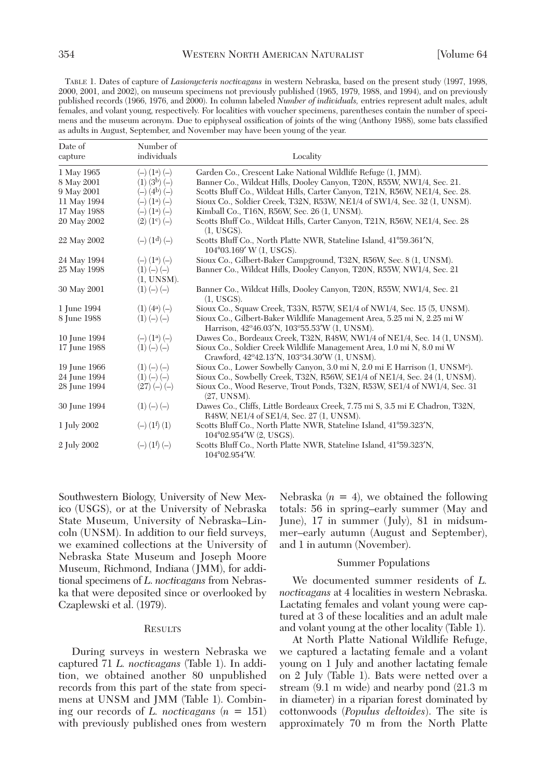TABLE 1. Dates of capture of *Lasionycteris noctivagans* in western Nebraska, based on the present study (1997, 1998, 2000, 2001, and 2002), on museum specimens not previously published (1965, 1979, 1988, and 1994), and on previously published records (1966, 1976, and 2000). In column labeled *Number of individuals,* entries represent adult males, adult females, and volant young, respectively. For localities with voucher specimens, parentheses contain the number of specimens and the museum acronym. Due to epiphyseal ossification of joints of the wing (Anthony 1988), some bats classified as adults in August, September, and November may have been young of the year.

| Date of<br>capture | Number of<br>individuals    | Locality                                                                                                                 |
|--------------------|-----------------------------|--------------------------------------------------------------------------------------------------------------------------|
| 1 May 1965         | $(-)$ $(1^a)$ $(-)$         | Garden Co., Crescent Lake National Wildlife Refuge (1, JMM).                                                             |
| 8 May 2001         | $(1)$ $(3b)$ $(-)$          | Banner Co., Wildcat Hills, Dooley Canyon, T20N, R55W, NW1/4, Sec. 21.                                                    |
| 9 May 2001         | $(-)$ $(4b)$ $(-)$          | Scotts Bluff Co., Wildcat Hills, Carter Canyon, T21N, R56W, NE1/4, Sec. 28.                                              |
| 11 May 1994        | $(-)$ $(1^a)$ $(-)$         | Sioux Co., Soldier Creek, T32N, R53W, NE1/4 of SW1/4, Sec. 32 (1, UNSM).                                                 |
| 17 May 1988        | $(-)$ $(1^a)$ $(-)$         | Kimball Co., T16N, R56W, Sec. 26 (1, UNSM).                                                                              |
| 20 May 2002        | $(2)$ $(1c)$ $(-)$          | Scotts Bluff Co., Wildcat Hills, Carter Canyon, T21N, R56W, NE1/4, Sec. 28<br>(1, USGS).                                 |
| 22 May 2002        | $(-)$ $(1^d)$ $(-)$         | Scotts Bluff Co., North Platte NWR, Stateline Island, 41°59.361'N,<br>$104^{\circ}03.169'$ W $(1, USGS)$ .               |
| 24 May 1994        | $(-)$ $(1^a)$ $(-)$         | Sioux Co., Gilbert-Baker Campground, T32N, R56W, Sec. 8 (1, UNSM).                                                       |
| 25 May 1998        | $(1) (-) (-)$<br>(1, UNSM). | Banner Co., Wildcat Hills, Dooley Canyon, T20N, R55W, NW1/4, Sec. 21                                                     |
| 30 May 2001        | $(1) (-) (-)$               | Banner Co., Wildcat Hills, Dooley Canyon, T20N, R55W, NW1/4, Sec. 21<br>(1, USGS).                                       |
| 1 June 1994        | $(1)$ $(4^{\circ})$ $(-)$   | Sioux Co., Squaw Creek, T33N, R57W, SE1/4 of NW1/4, Sec. 15 (5, UNSM).                                                   |
| 8 June 1988        | $(1) (-) (-)$               | Sioux Co., Gilbert-Baker Wildlife Management Area, 5.25 mi N, 2.25 mi W<br>Harrison, 42°46.03'N, 103°55.53'W (1, UNSM).  |
| 10 June 1994       | $(-)$ $(1^a)$ $(-)$         | Dawes Co., Bordeaux Creek, T32N, R48W, NW1/4 of NE1/4, Sec. 14 (1, UNSM).                                                |
| 17 June 1988       | $(1) (-) (-)$               | Sioux Co., Soldier Creek Wildlife Management Area, 1.0 mi N, 8.0 mi W<br>Crawford, 42°42.13'N, 103°34.30'W (1, UNSM).    |
| 19 June 1966       | $(1) (-) (-)$               | Sioux Co., Lower Sowbelly Canyon, 3.0 mi N, 2.0 mi E Harrison (1, UNSM <sup>e)</sup> .                                   |
| 24 June 1994       | $(1) (-) (-)$               | Sioux Co., Sowbelly Creek, T32N, R56W, SE1/4 of NE1/4, Sec. 24 (1, UNSM).                                                |
| 28 June 1994       | $(27) (-) (-)$              | Sioux Co., Wood Reserve, Trout Ponds, T32N, R53W, SE1/4 of NW1/4, Sec. 31<br>(27, UNSM).                                 |
| 30 June 1994       | $(1) (-) (-)$               | Dawes Co., Cliffs, Little Bordeaux Creek, 7.75 mi S, 3.5 mi E Chadron, T32N,<br>R48W, NE1/4 of SE1/4, Sec. 27 (1, UNSM). |
| 1 July 2002        | $(-)$ $(1^f)(1)$            | Scotts Bluff Co., North Platte NWR, Stateline Island, 41°59.323'N,<br>$104^{\circ}02.954'$ W $(2,$ USGS).                |
| 2 July 2002        | $(-)$ $(1^f)$ $(-)$         | Scotts Bluff Co., North Platte NWR, Stateline Island, 41°59.323'N,<br>104°02.954'W.                                      |

Southwestern Biology, University of New Mexico (USGS), or at the University of Nebraska State Museum, University of Nebraska–Lincoln (UNSM). In addition to our field surveys, we examined collections at the University of Nebraska State Museum and Joseph Moore Museum, Richmond, Indiana (JMM), for additional specimens of *L*. *noctivagans* from Nebraska that were deposited since or overlooked by Czaplewski et al. (1979).

#### **RESULTS**

During surveys in western Nebraska we captured 71 *L. noctivagans* (Table 1). In addition, we obtained another 80 unpublished records from this part of the state from specimens at UNSM and JMM (Table 1). Combining our records of *L. noctivagans* (*n* = 151) with previously published ones from western Nebraska  $(n = 4)$ , we obtained the following totals: 56 in spring–early summer (May and June), 17 in summer (July), 81 in midsummer–early autumn (August and September), and 1 in autumn (November).

### Summer Populations

We documented summer residents of *L. noctivagans* at 4 localities in western Nebraska. Lactating females and volant young were captured at 3 of these localities and an adult male and volant young at the other locality (Table 1).

At North Platte National Wildlife Refuge, we captured a lactating female and a volant young on 1 July and another lactating female on 2 July (Table 1). Bats were netted over a stream (9.1 m wide) and nearby pond (21.3 m in diameter) in a riparian forest dominated by cottonwoods (*Populus deltoides*). The site is approximately 70 m from the North Platte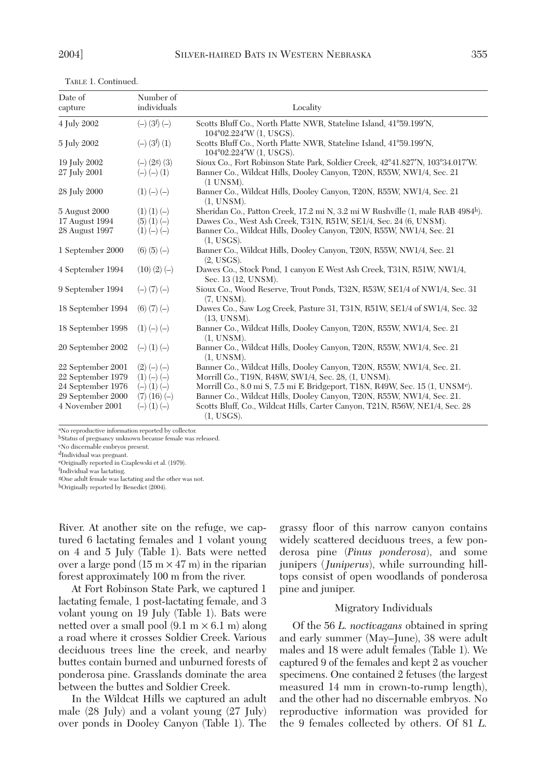TABLE 1. Continued.

| Date of<br>capture | Number of<br>individuals      | Locality                                                                                      |
|--------------------|-------------------------------|-----------------------------------------------------------------------------------------------|
| 4 July 2002        | $(-)$ (3 <sup>f</sup> ) $(-)$ | Scotts Bluff Co., North Platte NWR, Stateline Island, 41°59.199'N,<br>104°02.224'W (1, USGS). |
| 5 July 2002        | $(-)$ (3f) (1)                | Scotts Bluff Co., North Platte NWR, Stateline Island, 41°59.199'N,<br>104°02.224'W (1, USGS). |
| 19 July 2002       | $(-)$ (2g) (3)                | Sioux Co., Fort Robinson State Park, Soldier Creek, 42°41.827′N, 103°34.017′W.                |
| 27 July 2001       | $(-)$ $(-)$ $(1)$             | Banner Co., Wildcat Hills, Dooley Canyon, T20N, R55W, NW1/4, Sec. 21<br>$(1$ UNSM $)$ .       |
| 28 July 2000       | $(1) (-) (-)$                 | Banner Co., Wildcat Hills, Dooley Canyon, T20N, R55W, NW1/4, Sec. 21<br>(1, UNSM).            |
| 5 August 2000      | $(1)$ $(1)$ $(-)$             | Sheridan Co., Patton Creek, 17.2 mi N, 3.2 mi W Rushville (1, male RAB 4984 <sup>h</sup> ).   |
| 17 August 1994     | $(5)$ $(1)$ $(-)$             | Dawes Co., West Ash Creek, T31N, R51W, SE1/4, Sec. 24 (6, UNSM).                              |
| 28 August 1997     | $(1) (-) (-)$                 | Banner Co., Wildcat Hills, Dooley Canyon, T20N, R55W, NW1/4, Sec. 21<br>(1, USGS).            |
| 1 September 2000   | $(6)$ $(5)$ $(-)$             | Banner Co., Wildcat Hills, Dooley Canyon, T20N, R55W, NW1/4, Sec. 21<br>(2, USGS).            |
| 4 September 1994   | $(10)(2) (-)$                 | Dawes Co., Stock Pond, 1 canyon E West Ash Creek, T31N, R51W, NW1/4,<br>Sec. 13 (12, UNSM).   |
| 9 September 1994   | $(-)$ (7) $(-)$               | Sioux Co., Wood Reserve, Trout Ponds, T32N, R53W, SE1/4 of NW1/4, Sec. 31<br>(7, UNSM).       |
| 18 September 1994  | $(6)$ $(7)$ $(-)$             | Dawes Co., Saw Log Creek, Pasture 31, T31N, R51W, SE1/4 of SW1/4, Sec. 32<br>(13, UNSM).      |
| 18 September 1998  | $(1) (-) (-)$                 | Banner Co., Wildcat Hills, Dooley Canyon, T20N, R55W, NW1/4, Sec. 21<br>(1, UNSM).            |
| 20 September 2002  | $(-)$ $(1)$ $(-)$             | Banner Co., Wildcat Hills, Dooley Canyon, T20N, R55W, NW1/4, Sec. 21<br>(1, UNSM).            |
| 22 September 2001  | $(2) (-) (-)$                 | Banner Co., Wildcat Hills, Dooley Canyon, T20N, R55W, NW1/4, Sec. 21.                         |
| 22 September 1979  | $(1) (-) (-)$                 | Morrill Co., T19N, R48W, SW1/4, Sec. 28, (1, UNSM).                                           |
| 24 September 1976  | $(-)$ $(1)$ $(-)$             | Morrill Co., 8.0 mi S, 7.5 mi E Bridgeport, T18N, R49W, Sec. 15 (1, UNSM <sup>e</sup> ).      |
| 29 September 2000  | $(7)$ $(16)$ $(-)$            | Banner Co., Wildcat Hills, Dooley Canyon, T20N, R55W, NW1/4, Sec. 21.                         |
| 4 November 2001    | $(-)$ $(1)$ $(-)$             | Scotts Bluff, Co., Wildcat Hills, Carter Canyon, T21N, R56W, NE1/4, Sec. 28<br>(1, USGS).     |

aNo reproductive information reported by collector. bStatus of pregnancy unknown because female was released.

cNo discernable embryos present.

dIndividual was pregnant.

eOriginally reported in Czaplewski et al. (1979).

f Individual was lactating.

gOne adult female was lactating and the other was not.

hOriginally reported by Benedict (2004).

River. At another site on the refuge, we captured 6 lactating females and 1 volant young on 4 and 5 July (Table 1). Bats were netted over a large pond  $(15 \text{ m} \times 47 \text{ m})$  in the riparian forest approximately 100 m from the river.

At Fort Robinson State Park, we captured 1 lactating female, 1 post-lactating female, and 3 volant young on 19 July (Table 1). Bats were netted over a small pool  $(9.1 \text{ m} \times 6.1 \text{ m})$  along a road where it crosses Soldier Creek. Various deciduous trees line the creek, and nearby buttes contain burned and unburned forests of ponderosa pine. Grasslands dominate the area between the buttes and Soldier Creek.

In the Wildcat Hills we captured an adult male (28 July) and a volant young (27 July) over ponds in Dooley Canyon (Table 1). The

grassy floor of this narrow canyon contains widely scattered deciduous trees, a few ponderosa pine (*Pinus ponderosa*), and some junipers (*Juniperus*), while surrounding hilltops consist of open woodlands of ponderosa pine and juniper.

### Migratory Individuals

Of the 56 *L. noctivagans* obtained in spring and early summer (May–June), 38 were adult males and 18 were adult females (Table 1). We captured 9 of the females and kept 2 as voucher specimens. One contained 2 fetuses (the largest measured 14 mm in crown-to-rump length), and the other had no discernable embryos. No reproductive information was provided for the 9 females collected by others. Of 81 *L.*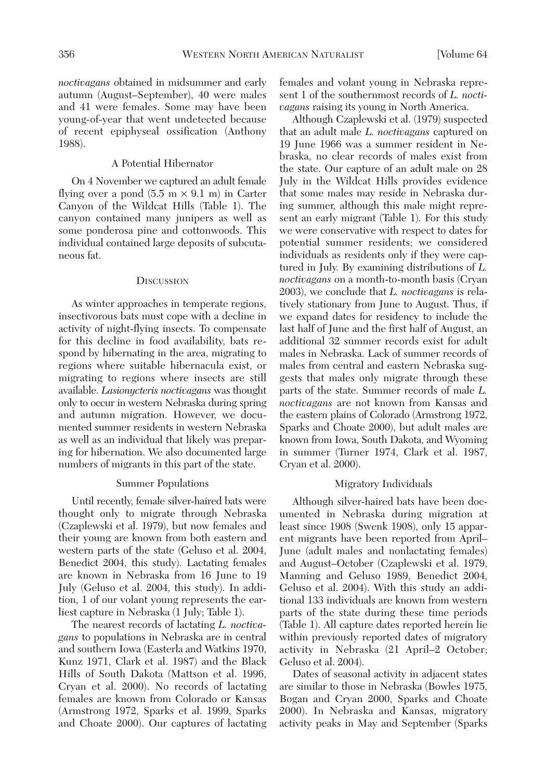*noctivagans* obtained in midsummer and early autumn (August–September), 40 were males and 41 were females. Some may have been young-of-year that went undetected because of recent epiphyseal ossification (Anthony 1988).

### A Potential Hibernator

On 4 November we captured an adult female flying over a pond  $(5.5 \text{ m} \times 9.1 \text{ m})$  in Carter Canyon of the Wildcat Hills (Table 1). The canyon contained many junipers as well as some ponderosa pine and cottonwoods. This individual contained large deposits of subcutaneous fat.

#### **DISCUSSION**

As winter approaches in temperate regions, insectivorous bats must cope with a decline in activity of night-flying insects. To compensate for this decline in food availability, bats respond by hibernating in the area, migrating to regions where suitable hibernacula exist, or migrating to regions where insects are still available. *Lasionycteris noctivagans* was thought only to occur in western Nebraska during spring and autumn migration. However, we documented summer residents in western Nebraska as well as an individual that likely was preparing for hibernation. We also documented large numbers of migrants in this part of the state.

#### Summer Populations

Until recently, female silver-haired bats were thought only to migrate through Nebraska (Czaplewski et al. 1979), but now females and their young are known from both eastern and western parts of the state (Geluso et al. 2004, Benedict 2004, this study). Lactating females are known in Nebraska from 16 June to 19 July (Geluso et al. 2004, this study). In addition, 1 of our volant young represents the earliest capture in Nebraska (1 July; Table 1).

The nearest records of lactating *L. noctivagans* to populations in Nebraska are in central and southern Iowa (Easterla and Watkins 1970, Kunz 1971, Clark et al. 1987) and the Black Hills of South Dakota (Mattson et al. 1996, Cryan et al. 2000). No records of lactating females are known from Colorado or Kansas (Armstrong 1972, Sparks et al. 1999, Sparks and Choate 2000). Our captures of lactating females and volant young in Nebraska represent 1 of the southernmost records of *L. noctivagans* raising its young in North America.

Although Czaplewski et al. (1979) suspected that an adult male *L. noctivagans* captured on 19 June 1966 was a summer resident in Nebraska, no clear records of males exist from the state. Our capture of an adult male on 28 July in the Wildcat Hills provides evidence that some males may reside in Nebraska during summer, although this male might represent an early migrant (Table 1). For this study we were conservative with respect to dates for potential summer residents; we considered individuals as residents only if they were captured in July. By examining distributions of *L. noctivagans* on a month-to-month basis (Cryan 2003), we conclude that *L. noctivagans* is relatively stationary from June to August. Thus, if we expand dates for residency to include the last half of June and the first half of August, an additional 32 summer records exist for adult males in Nebraska. Lack of summer records of males from central and eastern Nebraska suggests that males only migrate through these parts of the state. Summer records of male *L. noctivagans* are not known from Kansas and the eastern plains of Colorado (Armstrong 1972, Sparks and Choate 2000), but adult males are known from Iowa, South Dakota, and Wyoming in summer (Turner 1974, Clark et al. 1987, Cryan et al. 2000).

## Migratory Individuals

Although silver-haired bats have been documented in Nebraska during migration at least since 1908 (Swenk 1908), only 15 apparent migrants have been reported from April– June (adult males and nonlactating females) and August–October (Czaplewski et al. 1979, Manning and Geluso 1989, Benedict 2004, Geluso et al. 2004). With this study an additional 133 individuals are known from western parts of the state during these time periods (Table 1). All capture dates reported herein lie within previously reported dates of migratory activity in Nebraska (21 April–2 October; Geluso et al. 2004).

Dates of seasonal activity in adjacent states are similar to those in Nebraska (Bowles 1975, Bogan and Cryan 2000, Sparks and Choate 2000). In Nebraska and Kansas, migratory activity peaks in May and September (Sparks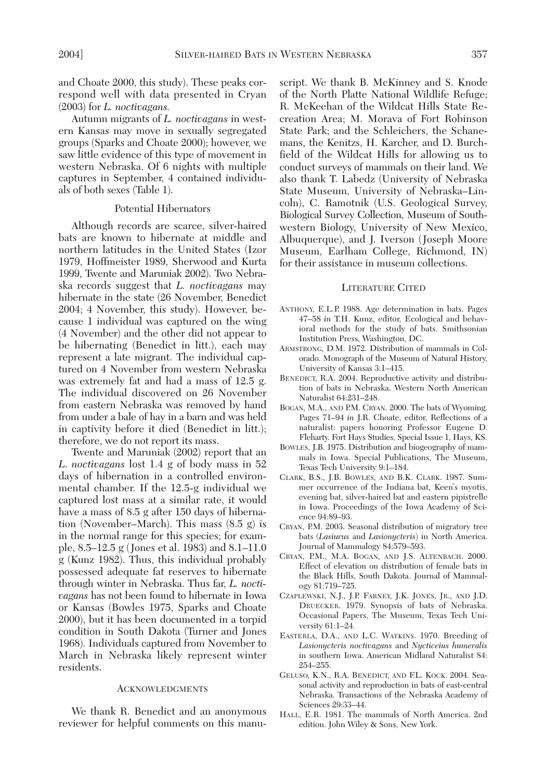and Choate 2000, this study). These peaks correspond well with data presented in Cryan (2003) for *L. noctivagans.*

Autumn migrants of *L. noctivagans* in western Kansas may move in sexually segregated groups (Sparks and Choate 2000); however, we saw little evidence of this type of movement in western Nebraska. Of 6 nights with multiple captures in September, 4 contained individuals of both sexes (Table 1).

### Potential Hibernators

Although records are scarce, silver-haired bats are known to hibernate at middle and northern latitudes in the United States (Izor 1979, Hoffmeister 1989, Sherwood and Kurta 1999, Twente and Maruniak 2002). Two Nebraska records suggest that *L. noctivagans* may hibernate in the state (26 November, Benedict 2004; 4 November, this study). However, because 1 individual was captured on the wing (4 November) and the other did not appear to be hibernating (Benedict in litt.), each may represent a late migrant. The individual captured on 4 November from western Nebraska was extremely fat and had a mass of 12.5 g. The individual discovered on 26 November from eastern Nebraska was removed by hand from under a bale of hay in a barn and was held in captivity before it died (Benedict in litt.); therefore, we do not report its mass.

Twente and Maruniak (2002) report that an *L*. *noctivagans* lost 1.4 g of body mass in 52 days of hibernation in a controlled environmental chamber. If the 12.5-g individual we captured lost mass at a similar rate, it would have a mass of 8.5 g after 150 days of hibernation (November–March). This mass (8.5 g) is in the normal range for this species; for example, 8.5–12.5 g (Jones et al. 1983) and 8.1–11.0 g (Kunz 1982). Thus, this individual probably possessed adequate fat reserves to hibernate through winter in Nebraska. Thus far, *L. noctivagans* has not been found to hibernate in Iowa or Kansas (Bowles 1975, Sparks and Choate 2000), but it has been documented in a torpid condition in South Dakota (Turner and Jones 1968). Individuals captured from November to March in Nebraska likely represent winter residents.

#### **ACKNOWLEDGMENTS**

We thank R. Benedict and an anonymous reviewer for helpful comments on this manuscript. We thank B. McKinney and S. Knode of the North Platte National Wildlife Refuge; R. McKeehan of the Wildcat Hills State Recreation Area; M. Morava of Fort Robinson State Park; and the Schleichers, the Schanemans, the Kenitzs, H. Karcher, and D. Burchfield of the Wildcat Hills for allowing us to conduct surveys of mammals on their land. We also thank T. Labedz (University of Nebraska State Museum, University of Nebraska–Lincoln), C. Ramotnik (U.S. Geological Survey, Biological Survey Collection, Museum of Southwestern Biology, University of New Mexico, Albuquerque), and J. Iverson (Joseph Moore Museum, Earlham College, Richmond, IN) for their assistance in museum collections.

#### LITERATURE CITED

- ANTHONY, E.L.P. 1988. Age determination in bats. Pages 47–58 *in* T.H. Kunz, editor, Ecological and behavioral methods for the study of bats. Smithsonian Institution Press, Washington, DC.
- ARMSTRONG, D.M. 1972. Distribution of mammals in Colorado. Monograph of the Museum of Natural History, University of Kansas 3:1–415.
- BENEDICT, R.A. 2004. Reproductive activity and distribution of bats in Nebraska. Western North American Naturalist 64:231–248.
- BOGAN, M.A., AND P.M. CRYAN. 2000. The bats of Wyoming. Pages 71–94 *in* J.R. Choate, editor, Reflections of a naturalist: papers honoring Professor Eugene D. Fleharty. Fort Hays Studies, Special Issue 1, Hays, KS.
- BOWLES, J.B. 1975. Distribution and biogeography of mammals in Iowa. Special Publications, The Museum, Texas Tech University 9:1–184.
- CLARK, B.S., J.B. BOWLES, AND B.K. CLARK. 1987. Summer occurrence of the Indiana bat, Keen's myotis, evening bat, silver-haired bat and eastern pipistrelle in Iowa. Proceedings of the Iowa Academy of Science 94:89–93.
- CRYAN, P.M. 2003. Seasonal distribution of migratory tree bats (*Lasiurus* and *Lasionycteris*) in North America. Journal of Mammalogy 84:579–593.
- CRYAN, P.M., M.A. BOGAN, AND J.S. ALTENBACH. 2000. Effect of elevation on distribution of female bats in the Black Hills, South Dakota. Journal of Mammalogy 81:719–725.
- CZAPLEWSKI, N.J., J.P. FARNEY, J.K. JONES, JR., AND J.D. DRUECKER. 1979. Synopsis of bats of Nebraska. Occasional Papers, The Museum, Texas Tech University 61:1–24.
- EASTERLA, D.A., AND L.C. WATKINS. 1970. Breeding of *Lasionycteris noctivagans* and *Nycticeius humeralis* in southern Iowa. American Midland Naturalist 84: 254–255.
- GELUSO, K.N., R.A. BENEDICT, AND F.L. KOCK. 2004. Seasonal activity and reproduction in bats of east-central Nebraska. Transactions of the Nebraska Academy of Sciences 29:33–44.
- HALL, E.R. 1981. The mammals of North America. 2nd edition. John Wiley & Sons, New York.